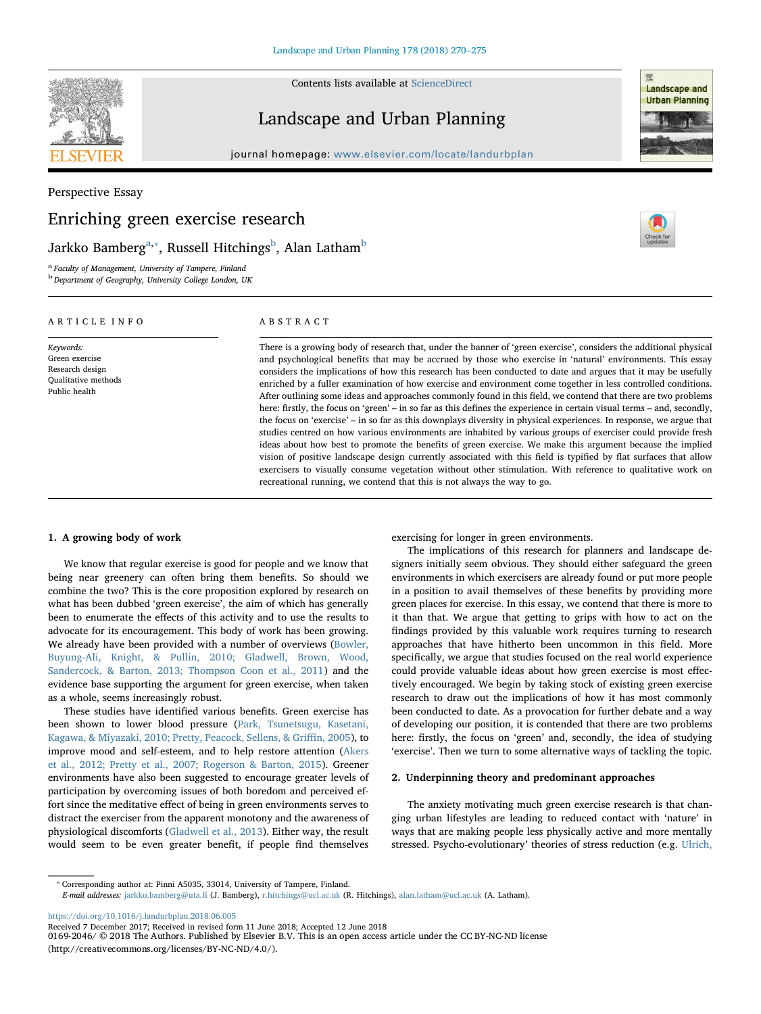

Contents lists available at [ScienceDirect](http://www.sciencedirect.com/science/journal/01692046)

# Landscape and Urban Planning



 $\frac{1}{2}$ 

journal homepage: [www.elsevier.com/locate/landurbplan](https://www.elsevier.com/locate/landurbplan)

## Perspective Essay

## Enriching green exercise research

# J[a](#page-0-0)rkko Bam[b](#page-0-2)erg $^{\rm a, *},$  Russell Hitchings $^{\rm b}$ , Alan Latham $^{\rm b}$

<span id="page-0-0"></span><sup>a</sup> Faculty of Management, University of Tampere, Finland

<span id="page-0-2"></span><sup>b</sup> Department of Geography, University College London, UK

### ARTICLE INFO

Keywords: Green exercise Research design Qualitative methods

Public health

## ABSTRACT

There is a growing body of research that, under the banner of 'green exercise', considers the additional physical and psychological benefits that may be accrued by those who exercise in 'natural' environments. This essay considers the implications of how this research has been conducted to date and argues that it may be usefully enriched by a fuller examination of how exercise and environment come together in less controlled conditions. After outlining some ideas and approaches commonly found in this field, we contend that there are two problems here: firstly, the focus on 'green' – in so far as this defines the experience in certain visual terms – and, secondly, the focus on 'exercise' – in so far as this downplays diversity in physical experiences. In response, we argue that studies centred on how various environments are inhabited by various groups of exerciser could provide fresh ideas about how best to promote the benefits of green exercise. We make this argument because the implied vision of positive landscape design currently associated with this field is typified by flat surfaces that allow exercisers to visually consume vegetation without other stimulation. With reference to qualitative work on recreational running, we contend that this is not always the way to go.

### 1. A growing body of work

We know that regular exercise is good for people and we know that being near greenery can often bring them benefits. So should we combine the two? This is the core proposition explored by research on what has been dubbed 'green exercise', the aim of which has generally been to enumerate the effects of this activity and to use the results to advocate for its encouragement. This body of work has been growing. We already have been provided with a number of overviews ([Bowler,](#page-4-0) [Buyung-Ali, Knight, & Pullin, 2010; Gladwell, Brown, Wood,](#page-4-0) [Sandercock, & Barton, 2013; Thompson Coon et al., 2011\)](#page-4-0) and the evidence base supporting the argument for green exercise, when taken as a whole, seems increasingly robust.

These studies have identified various benefits. Green exercise has been shown to lower blood pressure [\(Park, Tsunetsugu, Kasetani,](#page-5-0) [Kagawa, & Miyazaki, 2010; Pretty, Peacock, Sellens, & Gri](#page-5-0)ffin, 2005), to improve mood and self-esteem, and to help restore attention ([Akers](#page-4-1) [et al., 2012; Pretty et al., 2007; Rogerson & Barton, 2015\)](#page-4-1). Greener environments have also been suggested to encourage greater levels of participation by overcoming issues of both boredom and perceived effort since the meditative effect of being in green environments serves to distract the exerciser from the apparent monotony and the awareness of physiological discomforts [\(Gladwell et al., 2013\)](#page-5-1). Either way, the result would seem to be even greater benefit, if people find themselves exercising for longer in green environments.

The implications of this research for planners and landscape designers initially seem obvious. They should either safeguard the green environments in which exercisers are already found or put more people in a position to avail themselves of these benefits by providing more green places for exercise. In this essay, we contend that there is more to it than that. We argue that getting to grips with how to act on the findings provided by this valuable work requires turning to research approaches that have hitherto been uncommon in this field. More specifically, we argue that studies focused on the real world experience could provide valuable ideas about how green exercise is most effectively encouraged. We begin by taking stock of existing green exercise research to draw out the implications of how it has most commonly been conducted to date. As a provocation for further debate and a way of developing our position, it is contended that there are two problems here: firstly, the focus on 'green' and, secondly, the idea of studying 'exercise'. Then we turn to some alternative ways of tackling the topic.

### 2. Underpinning theory and predominant approaches

The anxiety motivating much green exercise research is that changing urban lifestyles are leading to reduced contact with 'nature' in ways that are making people less physically active and more mentally stressed. Psycho-evolutionary' theories of stress reduction (e.g. [Ulrich,](#page-5-2)

<span id="page-0-1"></span>⁎ Corresponding author at: Pinni A5035, 33014, University of Tampere, Finland.

E-mail addresses: [jarkko.bamberg@uta.](mailto:jarkko.bamberg@uta.fi)fi (J. Bamberg), [r.hitchings@ucl.ac.uk](mailto:r.hitchings@ucl.ac.uk) (R. Hitchings), [alan.latham@ucl.ac.uk](mailto:alan.latham@ucl.ac.uk) (A. Latham).

<https://doi.org/10.1016/j.landurbplan.2018.06.005>

Received 7 December 2017; Received in revised form 11 June 2018; Accepted 12 June 2018

<sup>0169-2046/ © 2018</sup> The Authors. Published by Elsevier B.V. This is an open access article under the CC BY-NC-ND license (http://creativecommons.org/licenses/BY-NC-ND/4.0/).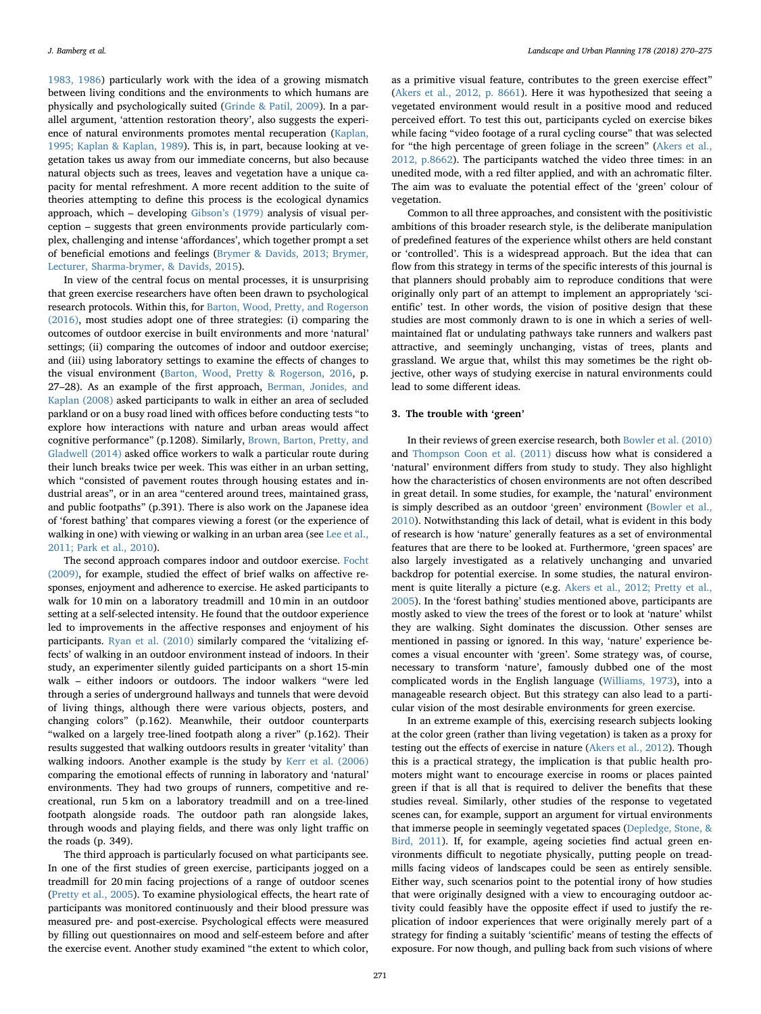[1983, 1986](#page-5-2)) particularly work with the idea of a growing mismatch between living conditions and the environments to which humans are physically and psychologically suited ([Grinde & Patil, 2009\)](#page-5-3). In a parallel argument, 'attention restoration theory', also suggests the experience of natural environments promotes mental recuperation ([Kaplan,](#page-5-4) [1995; Kaplan & Kaplan, 1989\)](#page-5-4). This is, in part, because looking at vegetation takes us away from our immediate concerns, but also because natural objects such as trees, leaves and vegetation have a unique capacity for mental refreshment. A more recent addition to the suite of theories attempting to define this process is the ecological dynamics approach, which – developing Gibson'[s \(1979\)](#page-5-5) analysis of visual perception – suggests that green environments provide particularly complex, challenging and intense 'affordances', which together prompt a set of beneficial emotions and feelings ([Brymer & Davids, 2013; Brymer,](#page-5-6) [Lecturer, Sharma-brymer, & Davids, 2015](#page-5-6)).

In view of the central focus on mental processes, it is unsurprising that green exercise researchers have often been drawn to psychological research protocols. Within this, for [Barton, Wood, Pretty, and Rogerson](#page-4-2) [\(2016\),](#page-4-2) most studies adopt one of three strategies: (i) comparing the outcomes of outdoor exercise in built environments and more 'natural' settings; (ii) comparing the outcomes of indoor and outdoor exercise; and (iii) using laboratory settings to examine the effects of changes to the visual environment ([Barton, Wood, Pretty & Rogerson, 2016,](#page-4-3) p. 27–28). As an example of the first approach, [Berman, Jonides, and](#page-4-4) [Kaplan \(2008\)](#page-4-4) asked participants to walk in either an area of secluded parkland or on a busy road lined with offices before conducting tests "to explore how interactions with nature and urban areas would affect cognitive performance" (p.1208). Similarly, [Brown, Barton, Pretty, and](#page-4-5) [Gladwell \(2014\)](#page-4-5) asked office workers to walk a particular route during their lunch breaks twice per week. This was either in an urban setting, which "consisted of pavement routes through housing estates and industrial areas", or in an area "centered around trees, maintained grass, and public footpaths" (p.391). There is also work on the Japanese idea of 'forest bathing' that compares viewing a forest (or the experience of walking in one) with viewing or walking in an urban area (see [Lee et al.,](#page-5-7) [2011; Park et al., 2010\)](#page-5-7).

The second approach compares indoor and outdoor exercise. [Focht](#page-5-8) [\(2009\),](#page-5-8) for example, studied the effect of brief walks on affective responses, enjoyment and adherence to exercise. He asked participants to walk for 10 min on a laboratory treadmill and 10 min in an outdoor setting at a self-selected intensity. He found that the outdoor experience led to improvements in the affective responses and enjoyment of his participants. [Ryan et al. \(2010\)](#page-5-9) similarly compared the 'vitalizing effects' of walking in an outdoor environment instead of indoors. In their study, an experimenter silently guided participants on a short 15-min walk – either indoors or outdoors. The indoor walkers "were led through a series of underground hallways and tunnels that were devoid of living things, although there were various objects, posters, and changing colors" (p.162). Meanwhile, their outdoor counterparts "walked on a largely tree-lined footpath along a river" (p.162). Their results suggested that walking outdoors results in greater 'vitality' than walking indoors. Another example is the study by [Kerr et al. \(2006\)](#page-5-10) comparing the emotional effects of running in laboratory and 'natural' environments. They had two groups of runners, competitive and recreational, run 5 km on a laboratory treadmill and on a tree-lined footpath alongside roads. The outdoor path ran alongside lakes, through woods and playing fields, and there was only light traffic on the roads (p. 349).

The third approach is particularly focused on what participants see. In one of the first studies of green exercise, participants jogged on a treadmill for 20 min facing projections of a range of outdoor scenes ([Pretty et al., 2005](#page-5-11)). To examine physiological effects, the heart rate of participants was monitored continuously and their blood pressure was measured pre- and post-exercise. Psychological effects were measured by filling out questionnaires on mood and self-esteem before and after the exercise event. Another study examined "the extent to which color,

as a primitive visual feature, contributes to the green exercise effect" ([Akers et al., 2012, p. 8661\)](#page-4-1). Here it was hypothesized that seeing a vegetated environment would result in a positive mood and reduced perceived effort. To test this out, participants cycled on exercise bikes while facing "video footage of a rural cycling course" that was selected for "the high percentage of green foliage in the screen" [\(Akers et al.,](#page-4-1) [2012, p.8662\)](#page-4-1). The participants watched the video three times: in an unedited mode, with a red filter applied, and with an achromatic filter. The aim was to evaluate the potential effect of the 'green' colour of vegetation.

Common to all three approaches, and consistent with the positivistic ambitions of this broader research style, is the deliberate manipulation of predefined features of the experience whilst others are held constant or 'controlled'. This is a widespread approach. But the idea that can flow from this strategy in terms of the specific interests of this journal is that planners should probably aim to reproduce conditions that were originally only part of an attempt to implement an appropriately 'scientific' test. In other words, the vision of positive design that these studies are most commonly drawn to is one in which a series of wellmaintained flat or undulating pathways take runners and walkers past attractive, and seemingly unchanging, vistas of trees, plants and grassland. We argue that, whilst this may sometimes be the right objective, other ways of studying exercise in natural environments could lead to some different ideas.

#### 3. The trouble with 'green'

In their reviews of green exercise research, both [Bowler et al. \(2010\)](#page-4-0) and [Thompson Coon et al. \(2011\)](#page-5-12) discuss how what is considered a 'natural' environment differs from study to study. They also highlight how the characteristics of chosen environments are not often described in great detail. In some studies, for example, the 'natural' environment is simply described as an outdoor 'green' environment [\(Bowler et al.,](#page-4-0) [2010\)](#page-4-0). Notwithstanding this lack of detail, what is evident in this body of research is how 'nature' generally features as a set of environmental features that are there to be looked at. Furthermore, 'green spaces' are also largely investigated as a relatively unchanging and unvaried backdrop for potential exercise. In some studies, the natural environment is quite literally a picture (e.g. [Akers et al., 2012; Pretty et al.,](#page-4-1) [2005\)](#page-4-1). In the 'forest bathing' studies mentioned above, participants are mostly asked to view the trees of the forest or to look at 'nature' whilst they are walking. Sight dominates the discussion. Other senses are mentioned in passing or ignored. In this way, 'nature' experience becomes a visual encounter with 'green'. Some strategy was, of course, necessary to transform 'nature', famously dubbed one of the most complicated words in the English language [\(Williams, 1973\)](#page-5-13), into a manageable research object. But this strategy can also lead to a particular vision of the most desirable environments for green exercise.

In an extreme example of this, exercising research subjects looking at the color green (rather than living vegetation) is taken as a proxy for testing out the effects of exercise in nature [\(Akers et al., 2012](#page-4-1)). Though this is a practical strategy, the implication is that public health promoters might want to encourage exercise in rooms or places painted green if that is all that is required to deliver the benefits that these studies reveal. Similarly, other studies of the response to vegetated scenes can, for example, support an argument for virtual environments that immerse people in seemingly vegetated spaces ([Depledge, Stone, &](#page-5-14) [Bird, 2011\)](#page-5-14). If, for example, ageing societies find actual green environments difficult to negotiate physically, putting people on treadmills facing videos of landscapes could be seen as entirely sensible. Either way, such scenarios point to the potential irony of how studies that were originally designed with a view to encouraging outdoor activity could feasibly have the opposite effect if used to justify the replication of indoor experiences that were originally merely part of a strategy for finding a suitably 'scientific' means of testing the effects of exposure. For now though, and pulling back from such visions of where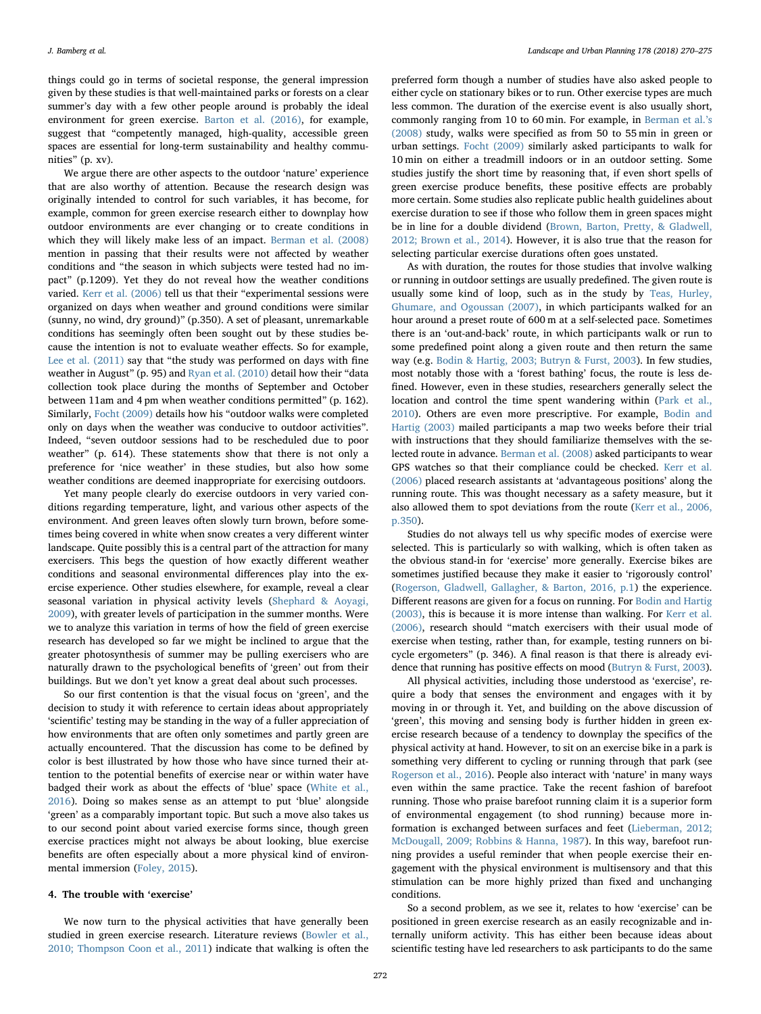things could go in terms of societal response, the general impression given by these studies is that well-maintained parks or forests on a clear summer's day with a few other people around is probably the ideal environment for green exercise. [Barton et al. \(2016\),](#page-4-3) for example, suggest that "competently managed, high-quality, accessible green spaces are essential for long-term sustainability and healthy communities" (p. xv).

We argue there are other aspects to the outdoor 'nature' experience that are also worthy of attention. Because the research design was originally intended to control for such variables, it has become, for example, common for green exercise research either to downplay how outdoor environments are ever changing or to create conditions in which they will likely make less of an impact. [Berman et al. \(2008\)](#page-4-4) mention in passing that their results were not affected by weather conditions and "the season in which subjects were tested had no impact" (p.1209). Yet they do not reveal how the weather conditions varied. [Kerr et al. \(2006\)](#page-5-10) tell us that their "experimental sessions were organized on days when weather and ground conditions were similar (sunny, no wind, dry ground)" (p.350). A set of pleasant, unremarkable conditions has seemingly often been sought out by these studies because the intention is not to evaluate weather effects. So for example, [Lee et al. \(2011\)](#page-5-7) say that "the study was performed on days with fine weather in August" (p. 95) and [Ryan et al. \(2010\)](#page-5-9) detail how their "data collection took place during the months of September and October between 11am and 4 pm when weather conditions permitted" (p. 162). Similarly, [Focht \(2009\)](#page-5-8) details how his "outdoor walks were completed only on days when the weather was conducive to outdoor activities". Indeed, "seven outdoor sessions had to be rescheduled due to poor weather" (p. 614). These statements show that there is not only a preference for 'nice weather' in these studies, but also how some weather conditions are deemed inappropriate for exercising outdoors.

Yet many people clearly do exercise outdoors in very varied conditions regarding temperature, light, and various other aspects of the environment. And green leaves often slowly turn brown, before sometimes being covered in white when snow creates a very different winter landscape. Quite possibly this is a central part of the attraction for many exercisers. This begs the question of how exactly different weather conditions and seasonal environmental differences play into the exercise experience. Other studies elsewhere, for example, reveal a clear seasonal variation in physical activity levels [\(Shephard & Aoyagi,](#page-5-15) [2009\)](#page-5-15), with greater levels of participation in the summer months. Were we to analyze this variation in terms of how the field of green exercise research has developed so far we might be inclined to argue that the greater photosynthesis of summer may be pulling exercisers who are naturally drawn to the psychological benefits of 'green' out from their buildings. But we don't yet know a great deal about such processes.

So our first contention is that the visual focus on 'green', and the decision to study it with reference to certain ideas about appropriately 'scientific' testing may be standing in the way of a fuller appreciation of how environments that are often only sometimes and partly green are actually encountered. That the discussion has come to be defined by color is best illustrated by how those who have since turned their attention to the potential benefits of exercise near or within water have badged their work as about the effects of 'blue' space ([White et al.,](#page-5-16) [2016\)](#page-5-16). Doing so makes sense as an attempt to put 'blue' alongside 'green' as a comparably important topic. But such a move also takes us to our second point about varied exercise forms since, though green exercise practices might not always be about looking, blue exercise benefits are often especially about a more physical kind of environmental immersion ([Foley, 2015\)](#page-5-17).

#### 4. The trouble with 'exercise'

We now turn to the physical activities that have generally been studied in green exercise research. Literature reviews [\(Bowler et al.,](#page-4-0) [2010; Thompson Coon et al., 2011\)](#page-4-0) indicate that walking is often the

preferred form though a number of studies have also asked people to either cycle on stationary bikes or to run. Other exercise types are much less common. The duration of the exercise event is also usually short, commonly ranging from 10 to 60 min. For example, in [Berman et al.](#page-4-4)'s [\(2008\)](#page-4-4) study, walks were specified as from 50 to 55 min in green or urban settings. [Focht \(2009\)](#page-5-8) similarly asked participants to walk for 10 min on either a treadmill indoors or in an outdoor setting. Some studies justify the short time by reasoning that, if even short spells of green exercise produce benefits, these positive effects are probably more certain. Some studies also replicate public health guidelines about exercise duration to see if those who follow them in green spaces might be in line for a double dividend ([Brown, Barton, Pretty, & Gladwell,](#page-4-6) [2012; Brown et al., 2014](#page-4-6)). However, it is also true that the reason for selecting particular exercise durations often goes unstated.

As with duration, the routes for those studies that involve walking or running in outdoor settings are usually predefined. The given route is usually some kind of loop, such as in the study by [Teas, Hurley,](#page-5-18) [Ghumare, and Ogoussan \(2007\),](#page-5-18) in which participants walked for an hour around a preset route of 600 m at a self-selected pace. Sometimes there is an 'out-and-back' route, in which participants walk or run to some predefined point along a given route and then return the same way (e.g. [Bodin & Hartig, 2003; Butryn & Furst, 2003](#page-4-7)). In few studies, most notably those with a 'forest bathing' focus, the route is less defined. However, even in these studies, researchers generally select the location and control the time spent wandering within ([Park et al.,](#page-5-0) [2010\)](#page-5-0). Others are even more prescriptive. For example, [Bodin and](#page-4-7) [Hartig \(2003\)](#page-4-7) mailed participants a map two weeks before their trial with instructions that they should familiarize themselves with the selected route in advance. [Berman et al. \(2008\)](#page-4-4) asked participants to wear GPS watches so that their compliance could be checked. [Kerr et al.](#page-5-10) [\(2006\)](#page-5-10) placed research assistants at 'advantageous positions' along the running route. This was thought necessary as a safety measure, but it also allowed them to spot deviations from the route [\(Kerr et al., 2006,](#page-5-10) [p.350\)](#page-5-10).

Studies do not always tell us why specific modes of exercise were selected. This is particularly so with walking, which is often taken as the obvious stand-in for 'exercise' more generally. Exercise bikes are sometimes justified because they make it easier to 'rigorously control' ([Rogerson, Gladwell, Gallagher, & Barton, 2016, p.1\)](#page-5-19) the experience. Different reasons are given for a focus on running. For [Bodin and Hartig](#page-4-7) [\(2003\),](#page-4-7) this is because it is more intense than walking. For [Kerr et al.](#page-5-10) [\(2006\),](#page-5-10) research should "match exercisers with their usual mode of exercise when testing, rather than, for example, testing runners on bicycle ergometers" (p. 346). A final reason is that there is already evidence that running has positive effects on mood ([Butryn & Furst, 2003](#page-5-20)).

All physical activities, including those understood as 'exercise', require a body that senses the environment and engages with it by moving in or through it. Yet, and building on the above discussion of 'green', this moving and sensing body is further hidden in green exercise research because of a tendency to downplay the specifics of the physical activity at hand. However, to sit on an exercise bike in a park is something very different to cycling or running through that park (see [Rogerson et al., 2016\)](#page-5-19). People also interact with 'nature' in many ways even within the same practice. Take the recent fashion of barefoot running. Those who praise barefoot running claim it is a superior form of environmental engagement (to shod running) because more information is exchanged between surfaces and feet ([Lieberman, 2012;](#page-5-21) [McDougall, 2009; Robbins & Hanna, 1987\)](#page-5-21). In this way, barefoot running provides a useful reminder that when people exercise their engagement with the physical environment is multisensory and that this stimulation can be more highly prized than fixed and unchanging conditions.

So a second problem, as we see it, relates to how 'exercise' can be positioned in green exercise research as an easily recognizable and internally uniform activity. This has either been because ideas about scientific testing have led researchers to ask participants to do the same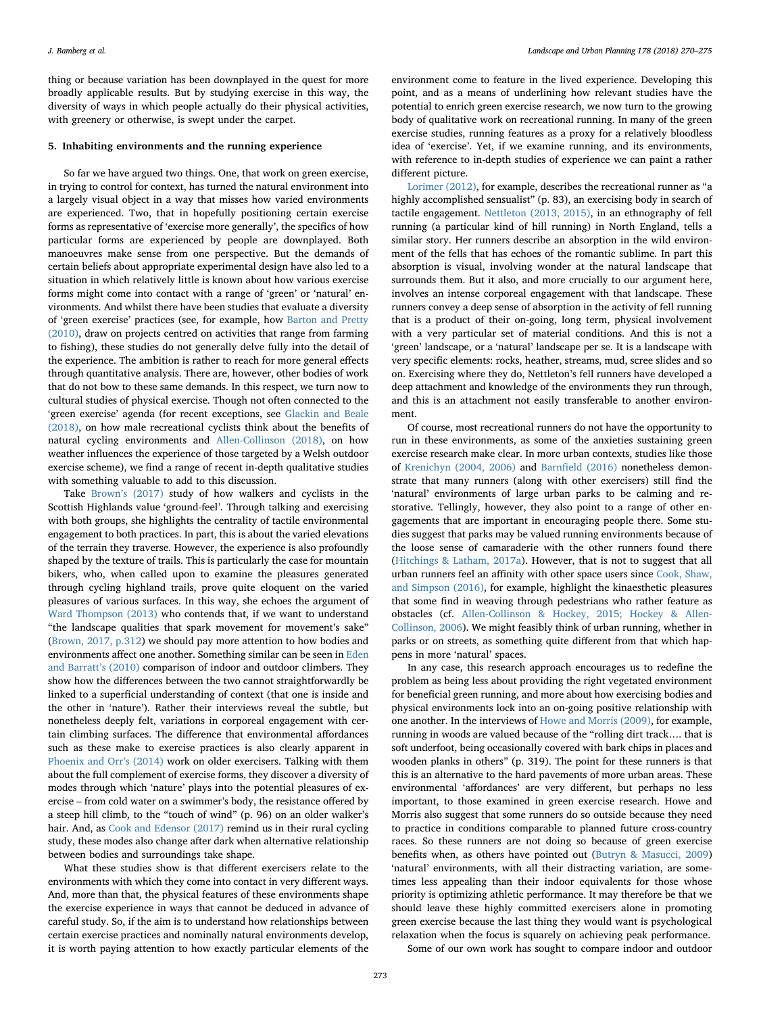thing or because variation has been downplayed in the quest for more broadly applicable results. But by studying exercise in this way, the diversity of ways in which people actually do their physical activities, with greenery or otherwise, is swept under the carpet.

#### 5. Inhabiting environments and the running experience

So far we have argued two things. One, that work on green exercise, in trying to control for context, has turned the natural environment into a largely visual object in a way that misses how varied environments are experienced. Two, that in hopefully positioning certain exercise forms as representative of 'exercise more generally', the specifics of how particular forms are experienced by people are downplayed. Both manoeuvres make sense from one perspective. But the demands of certain beliefs about appropriate experimental design have also led to a situation in which relatively little is known about how various exercise forms might come into contact with a range of 'green' or 'natural' environments. And whilst there have been studies that evaluate a diversity of 'green exercise' practices (see, for example, how [Barton and Pretty](#page-4-8) [\(2010\),](#page-4-8) draw on projects centred on activities that range from farming to fishing), these studies do not generally delve fully into the detail of the experience. The ambition is rather to reach for more general effects through quantitative analysis. There are, however, other bodies of work that do not bow to these same demands. In this respect, we turn now to cultural studies of physical exercise. Though not often connected to the 'green exercise' agenda (for recent exceptions, see [Glackin and Beale](#page-5-22) [\(2018\),](#page-5-22) on how male recreational cyclists think about the benefits of natural cycling environments and [Allen-Collinson \(2018\)](#page-4-9), on how weather influences the experience of those targeted by a Welsh outdoor exercise scheme), we find a range of recent in-depth qualitative studies with something valuable to add to this discussion.

Take Brown'[s \(2017\)](#page-4-10) study of how walkers and cyclists in the Scottish Highlands value 'ground-feel'. Through talking and exercising with both groups, she highlights the centrality of tactile environmental engagement to both practices. In part, this is about the varied elevations of the terrain they traverse. However, the experience is also profoundly shaped by the texture of trails. This is particularly the case for mountain bikers, who, when called upon to examine the pleasures generated through cycling highland trails, prove quite eloquent on the varied pleasures of various surfaces. In this way, she echoes the argument of [Ward Thompson \(2013\)](#page-5-23) who contends that, if we want to understand "the landscape qualities that spark movement for movement's sake" ([Brown, 2017, p.312\)](#page-4-10) we should pay more attention to how bodies and environments affect one another. Something similar can be seen in [Eden](#page-5-24) [and Barratt](#page-5-24)'s (2010) comparison of indoor and outdoor climbers. They show how the differences between the two cannot straightforwardly be linked to a superficial understanding of context (that one is inside and the other in 'nature'). Rather their interviews reveal the subtle, but nonetheless deeply felt, variations in corporeal engagement with certain climbing surfaces. The difference that environmental affordances such as these make to exercise practices is also clearly apparent in [Phoenix and Orr](#page-5-25)'s (2014) work on older exercisers. Talking with them about the full complement of exercise forms, they discover a diversity of modes through which 'nature' plays into the potential pleasures of exercise – from cold water on a swimmer's body, the resistance offered by a steep hill climb, to the "touch of wind" (p. 96) on an older walker's hair. And, as [Cook and Edensor \(2017\)](#page-5-26) remind us in their rural cycling study, these modes also change after dark when alternative relationship between bodies and surroundings take shape.

What these studies show is that different exercisers relate to the environments with which they come into contact in very different ways. And, more than that, the physical features of these environments shape the exercise experience in ways that cannot be deduced in advance of careful study. So, if the aim is to understand how relationships between certain exercise practices and nominally natural environments develop, it is worth paying attention to how exactly particular elements of the

environment come to feature in the lived experience. Developing this point, and as a means of underlining how relevant studies have the potential to enrich green exercise research, we now turn to the growing body of qualitative work on recreational running. In many of the green exercise studies, running features as a proxy for a relatively bloodless idea of 'exercise'. Yet, if we examine running, and its environments, with reference to in-depth studies of experience we can paint a rather different picture.

[Lorimer \(2012\),](#page-5-27) for example, describes the recreational runner as "a highly accomplished sensualist" (p. 83), an exercising body in search of tactile engagement. [Nettleton \(2013, 2015\)](#page-5-28), in an ethnography of fell running (a particular kind of hill running) in North England, tells a similar story. Her runners describe an absorption in the wild environment of the fells that has echoes of the romantic sublime. In part this absorption is visual, involving wonder at the natural landscape that surrounds them. But it also, and more crucially to our argument here, involves an intense corporeal engagement with that landscape. These runners convey a deep sense of absorption in the activity of fell running that is a product of their on-going, long term, physical involvement with a very particular set of material conditions. And this is not a 'green' landscape, or a 'natural' landscape per se. It is a landscape with very specific elements: rocks, heather, streams, mud, scree slides and so on. Exercising where they do, Nettleton's fell runners have developed a deep attachment and knowledge of the environments they run through, and this is an attachment not easily transferable to another environment.

Of course, most recreational runners do not have the opportunity to run in these environments, as some of the anxieties sustaining green exercise research make clear. In more urban contexts, studies like those of [Krenichyn \(2004, 2006\)](#page-5-29) and Barnfi[eld \(2016\)](#page-4-11) nonetheless demonstrate that many runners (along with other exercisers) still find the 'natural' environments of large urban parks to be calming and restorative. Tellingly, however, they also point to a range of other engagements that are important in encouraging people there. Some studies suggest that parks may be valued running environments because of the loose sense of camaraderie with the other runners found there ([Hitchings & Latham, 2017a](#page-5-30)). However, that is not to suggest that all urban runners feel an affinity with other space users since [Cook, Shaw,](#page-5-31) [and Simpson \(2016\),](#page-5-31) for example, highlight the kinaesthetic pleasures that some find in weaving through pedestrians who rather feature as obstacles (cf. [Allen-Collinson & Hockey, 2015; Hockey & Allen-](#page-4-12)[Collinson, 2006\)](#page-4-12). We might feasibly think of urban running, whether in parks or on streets, as something quite different from that which happens in more 'natural' spaces.

In any case, this research approach encourages us to redefine the problem as being less about providing the right vegetated environment for beneficial green running, and more about how exercising bodies and physical environments lock into an on-going positive relationship with one another. In the interviews of [Howe and Morris \(2009\),](#page-5-32) for example, running in woods are valued because of the "rolling dirt track…. that is soft underfoot, being occasionally covered with bark chips in places and wooden planks in others" (p. 319). The point for these runners is that this is an alternative to the hard pavements of more urban areas. These environmental 'affordances' are very different, but perhaps no less important, to those examined in green exercise research. Howe and Morris also suggest that some runners do so outside because they need to practice in conditions comparable to planned future cross-country races. So these runners are not doing so because of green exercise benefits when, as others have pointed out [\(Butryn & Masucci, 2009\)](#page-5-33) 'natural' environments, with all their distracting variation, are sometimes less appealing than their indoor equivalents for those whose priority is optimizing athletic performance. It may therefore be that we should leave these highly committed exercisers alone in promoting green exercise because the last thing they would want is psychological relaxation when the focus is squarely on achieving peak performance.

Some of our own work has sought to compare indoor and outdoor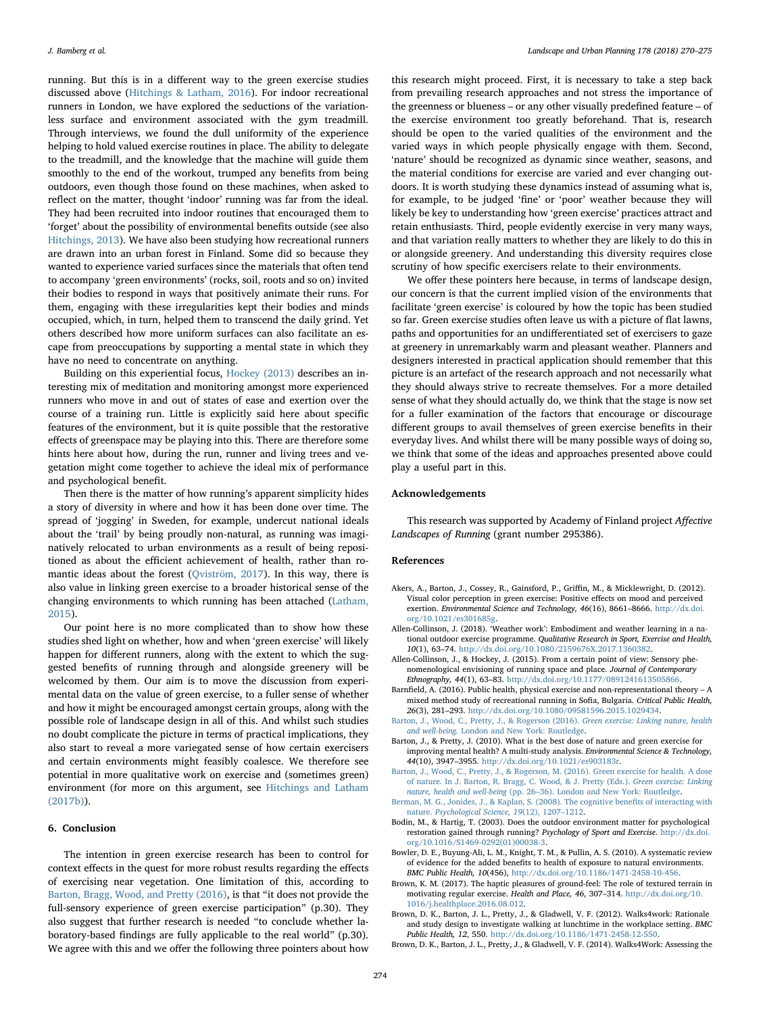running. But this is in a different way to the green exercise studies discussed above [\(Hitchings & Latham, 2016\)](#page-5-34). For indoor recreational runners in London, we have explored the seductions of the variationless surface and environment associated with the gym treadmill. Through interviews, we found the dull uniformity of the experience helping to hold valued exercise routines in place. The ability to delegate to the treadmill, and the knowledge that the machine will guide them smoothly to the end of the workout, trumped any benefits from being outdoors, even though those found on these machines, when asked to reflect on the matter, thought 'indoor' running was far from the ideal. They had been recruited into indoor routines that encouraged them to 'forget' about the possibility of environmental benefits outside (see also [Hitchings, 2013](#page-5-35)). We have also been studying how recreational runners are drawn into an urban forest in Finland. Some did so because they wanted to experience varied surfaces since the materials that often tend to accompany 'green environments' (rocks, soil, roots and so on) invited their bodies to respond in ways that positively animate their runs. For them, engaging with these irregularities kept their bodies and minds occupied, which, in turn, helped them to transcend the daily grind. Yet others described how more uniform surfaces can also facilitate an escape from preoccupations by supporting a mental state in which they have no need to concentrate on anything.

Building on this experiential focus, [Hockey \(2013\)](#page-5-36) describes an interesting mix of meditation and monitoring amongst more experienced runners who move in and out of states of ease and exertion over the course of a training run. Little is explicitly said here about specific features of the environment, but it is quite possible that the restorative effects of greenspace may be playing into this. There are therefore some hints here about how, during the run, runner and living trees and vegetation might come together to achieve the ideal mix of performance and psychological benefit.

Then there is the matter of how running's apparent simplicity hides a story of diversity in where and how it has been done over time. The spread of 'jogging' in Sweden, for example, undercut national ideals about the 'trail' by being proudly non-natural, as running was imaginatively relocated to urban environments as a result of being repositioned as about the efficient achievement of health, rather than romantic ideas about the forest [\(Qviström, 2017](#page-5-37)). In this way, there is also value in linking green exercise to a broader historical sense of the changing environments to which running has been attached [\(Latham,](#page-5-38) [2015\)](#page-5-38).

Our point here is no more complicated than to show how these studies shed light on whether, how and when 'green exercise' will likely happen for different runners, along with the extent to which the suggested benefits of running through and alongside greenery will be welcomed by them. Our aim is to move the discussion from experimental data on the value of green exercise, to a fuller sense of whether and how it might be encouraged amongst certain groups, along with the possible role of landscape design in all of this. And whilst such studies no doubt complicate the picture in terms of practical implications, they also start to reveal a more variegated sense of how certain exercisers and certain environments might feasibly coalesce. We therefore see potential in more qualitative work on exercise and (sometimes green) environment (for more on this argument, see [Hitchings and Latham](#page-5-39) [\(2017b\)\)](#page-5-39).

## 6. Conclusion

The intention in green exercise research has been to control for context effects in the quest for more robust results regarding the effects of exercising near vegetation. One limitation of this, according to [Barton, Bragg, Wood, and Pretty \(2016\),](#page-4-3) is that "it does not provide the full-sensory experience of green exercise participation" (p.30). They also suggest that further research is needed "to conclude whether laboratory-based findings are fully applicable to the real world" (p.30). We agree with this and we offer the following three pointers about how

this research might proceed. First, it is necessary to take a step back from prevailing research approaches and not stress the importance of the greenness or blueness – or any other visually predefined feature – of the exercise environment too greatly beforehand. That is, research should be open to the varied qualities of the environment and the varied ways in which people physically engage with them. Second, 'nature' should be recognized as dynamic since weather, seasons, and the material conditions for exercise are varied and ever changing outdoors. It is worth studying these dynamics instead of assuming what is, for example, to be judged 'fine' or 'poor' weather because they will likely be key to understanding how 'green exercise' practices attract and retain enthusiasts. Third, people evidently exercise in very many ways, and that variation really matters to whether they are likely to do this in or alongside greenery. And understanding this diversity requires close scrutiny of how specific exercisers relate to their environments.

We offer these pointers here because, in terms of landscape design, our concern is that the current implied vision of the environments that facilitate 'green exercise' is coloured by how the topic has been studied so far. Green exercise studies often leave us with a picture of flat lawns, paths and opportunities for an undifferentiated set of exercisers to gaze at greenery in unremarkably warm and pleasant weather. Planners and designers interested in practical application should remember that this picture is an artefact of the research approach and not necessarily what they should always strive to recreate themselves. For a more detailed sense of what they should actually do, we think that the stage is now set for a fuller examination of the factors that encourage or discourage different groups to avail themselves of green exercise benefits in their everyday lives. And whilst there will be many possible ways of doing so, we think that some of the ideas and approaches presented above could play a useful part in this.

### Acknowledgements

This research was supported by Academy of Finland project Affective Landscapes of Running (grant number 295386).

#### References

- <span id="page-4-1"></span>Akers, A., Barton, J., Cossey, R., Gainsford, P., Griffin, M., & Micklewright, D. (2012). Visual color perception in green exercise: Positive effects on mood and perceived exertion. Environmental Science and Technology, 46(16), 8661–8666. [http://dx.doi.](http://dx.doi.org/10.1021/es301685g) [org/10.1021/es301685g](http://dx.doi.org/10.1021/es301685g).
- <span id="page-4-9"></span>Allen-Collinson, J. (2018). 'Weather work': Embodiment and weather learning in a national outdoor exercise programme. Qualitative Research in Sport, Exercise and Health, 10(1), 63–74. <http://dx.doi.org/10.1080/2159676X.2017.1360382>.
- <span id="page-4-12"></span>Allen-Collinson, J., & Hockey, J. (2015). From a certain point of view: Sensory phenomenological envisioning of running space and place. Journal of Contemporary Ethnography, 44(1), 63–83. <http://dx.doi.org/10.1177/0891241613505866>.
- <span id="page-4-11"></span>Barnfield, A. (2016). Public health, physical exercise and non-representational theory – A mixed method study of recreational running in Sofia, Bulgaria. Critical Public Health, 26(3), 281–293. <http://dx.doi.org/10.1080/09581596.2015.1029434>.
- <span id="page-4-3"></span>[Barton, J., Wood, C., Pretty, J., & Rogerson \(2016\).](http://refhub.elsevier.com/S0169-2046(18)30488-2/h0025) Green exercise: Linking nature, health and well-being. [London and New York: Routledge.](http://refhub.elsevier.com/S0169-2046(18)30488-2/h0025)
- <span id="page-4-8"></span>Barton, J., & Pretty, J. (2010). What is the best dose of nature and green exercise for improving mental health? A multi-study analysis. Environmental Science & Technology, 44(10), 3947–3955. [http://dx.doi.org/10.1021/es903183r.](http://dx.doi.org/10.1021/es903183r)
- <span id="page-4-2"></span>[Barton, J., Wood, C., Pretty, J., & Rogerson, M. \(2016\). Green exercise for health. A dose](http://refhub.elsevier.com/S0169-2046(18)30488-2/h0035) [of nature. In J. Barton, R. Bragg, C. Wood, & J. Pretty \(Eds.\).](http://refhub.elsevier.com/S0169-2046(18)30488-2/h0035) Green exercise: Linking nature, health and well-being (pp. 26–[36\). London and New York: Routledge.](http://refhub.elsevier.com/S0169-2046(18)30488-2/h0035)
- <span id="page-4-4"></span>[Berman, M. G., Jonides, J., & Kaplan, S. \(2008\). The cognitive bene](http://refhub.elsevier.com/S0169-2046(18)30488-2/h0040)fits of interacting with nature. [Psychological Science, 19](http://refhub.elsevier.com/S0169-2046(18)30488-2/h0040)(12), 1207–1212.
- <span id="page-4-7"></span>Bodin, M., & Hartig, T. (2003). Does the outdoor environment matter for psychological restoration gained through running? Psychology of Sport and Exercise. [http://dx.doi.](http://dx.doi.org/10.1016/S1469-0292(01)00038-3) [org/10.1016/S1469-0292\(01\)00038-3](http://dx.doi.org/10.1016/S1469-0292(01)00038-3).
- <span id="page-4-0"></span>Bowler, D. E., Buyung-Ali, L. M., Knight, T. M., & Pullin, A. S. (2010). A systematic review of evidence for the added benefits to health of exposure to natural environments. BMC Public Health, 10(456), <http://dx.doi.org/10.1186/1471-2458-10-456>.
- <span id="page-4-10"></span>Brown, K. M. (2017). The haptic pleasures of ground-feel: The role of textured terrain in motivating regular exercise. Health and Place, 46, 307–314. [http://dx.doi.org/10.](http://dx.doi.org/10.1016/j.healthplace.2016.08.012) [1016/j.healthplace.2016.08.012.](http://dx.doi.org/10.1016/j.healthplace.2016.08.012)
- <span id="page-4-6"></span>Brown, D. K., Barton, J. L., Pretty, J., & Gladwell, V. F. (2012). Walks4work: Rationale and study design to investigate walking at lunchtime in the workplace setting. BMC Public Health, 12, 550. [http://dx.doi.org/10.1186/1471-2458-12-550.](http://dx.doi.org/10.1186/1471-2458-12-550)
- <span id="page-4-5"></span>Brown, D. K., Barton, J. L., Pretty, J., & Gladwell, V. F. (2014). Walks4Work: Assessing the